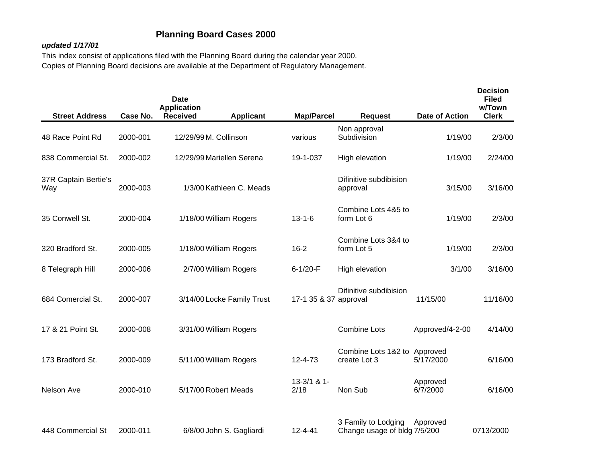## **Planning Board Cases 2000**

## *updated 1/17/01*

This index consist of applications filed with the Planning Board during the calendar year 2000. Copies of Planning Board decisions are available at the Department of Regulatory Management.

| <b>Street Address</b>       | Case No. | Date<br><b>Application</b><br><b>Received</b> | <b>Applicant</b>           | <b>Map/Parcel</b>     | <b>Request</b>                                      | Date of Action       | <b>Decision</b><br><b>Filed</b><br>w/Town<br><b>Clerk</b> |
|-----------------------------|----------|-----------------------------------------------|----------------------------|-----------------------|-----------------------------------------------------|----------------------|-----------------------------------------------------------|
| 48 Race Point Rd            | 2000-001 | 12/29/99 M. Collinson                         |                            | various               | Non approval<br>Subdivision                         | 1/19/00              | 2/3/00                                                    |
| 838 Commercial St.          | 2000-002 |                                               | 12/29/99 Mariellen Serena  | 19-1-037              | High elevation                                      | 1/19/00              | 2/24/00                                                   |
| 37R Captain Bertie's<br>Way | 2000-003 |                                               | 1/3/00 Kathleen C. Meads   |                       | Difinitive subdibision<br>approval                  | 3/15/00              | 3/16/00                                                   |
| 35 Conwell St.              | 2000-004 |                                               | 1/18/00 William Rogers     | $13 - 1 - 6$          | Combine Lots 4&5 to<br>form Lot 6                   | 1/19/00              | 2/3/00                                                    |
| 320 Bradford St.            | 2000-005 |                                               | 1/18/00 William Rogers     | $16 - 2$              | Combine Lots 3&4 to<br>form Lot 5                   | 1/19/00              | 2/3/00                                                    |
| 8 Telegraph Hill            | 2000-006 |                                               | 2/7/00 William Rogers      | $6 - 1/20 - F$        | High elevation                                      | 3/1/00               | 3/16/00                                                   |
| 684 Comercial St.           | 2000-007 |                                               | 3/14/00 Locke Family Trust | 17-1 35 & 37 approval | Difinitive subdibision                              | 11/15/00             | 11/16/00                                                  |
| 17 & 21 Point St.           | 2000-008 |                                               | 3/31/00 William Rogers     |                       | <b>Combine Lots</b>                                 | Approved/4-2-00      | 4/14/00                                                   |
| 173 Bradford St.            | 2000-009 |                                               | 5/11/00 William Rogers     | $12 - 4 - 73$         | Combine Lots 1&2 to Approved<br>create Lot 3        | 5/17/2000            | 6/16/00                                                   |
| Nelson Ave                  | 2000-010 | 5/17/00 Robert Meads                          |                            | $13-3/1$ & 1-<br>2/18 | Non Sub                                             | Approved<br>6/7/2000 | 6/16/00                                                   |
| 448 Commercial St           | 2000-011 |                                               | 6/8/00 John S. Gagliardi   | $12 - 4 - 41$         | 3 Family to Lodging<br>Change usage of bldg 7/5/200 | Approved             | 0713/2000                                                 |